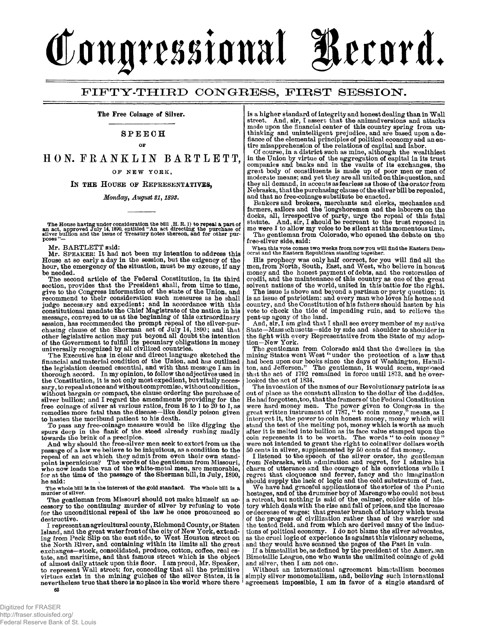## Congressional Record.

## FIFTY-THIRD CONGRESS, FIRST SESSION.

**The Free Coinage of Silver.** 

## **SPEECH**

**OF** 

HON. FRANKLIN BARTLETT. **OF NE W YORK ,** 

IN THE HOUSE OF REPRESENTATIVES.

*Monday, August 21,1893.* 

The House having under consideration the bill ,H. R. 1) to repeal a part of<br>an act, approved July 14, 1890, entitled "An act directing the purchase of<br>silver builion and the issue of Treasury notes thereon, and for other p  $_{\text{poss}}$ 

**Mr. BARTLETT said:** 

**Mr. SPEAKER: It had not been my intention to address this House at so early a day in the session, but the exigency of the hour, the emergency of the situation, must be my excuse, if any be needed.** 

**The second article of the Federal Constitution, in its third section, provides that the President shall, from time to time, give to the Congress information of the state of the Union, and recommend to their consideration such measures as he shall judge necessary and expedient; and in accordance with this constitutional mandate the Chief Magistrate of the nation in his message, conveyed to us at the beginning of this extraordinary session, has recommended the prompt repeal of the silver-pur-chasing clause of the Sherman act of July 14,1890; and that other legislative action may put beyond all doubt the intention of the Government to fulfill its pecuniary obligations in money universally recognized by all civilized countries.** 

**The Executive has in clear and direct language sketched the financial and material condition of the Union, and has outlined the legislation deemed essential, and with that message I am in thorough accord. In my opinion, to follow the adjectives used in the Constitution, it is not only most expedient, but vitally neces**sary, to repeal at once and without compromise, without condition, without bargain or compact, the clause ordering the purchase of<br>silver bullion; and I regard the amendments providing for the<br>free coinage of silver at various ratios, from 16 to 1 to 20 to 1, as<br>remedies more fatal than t **to hasten the moribund patient to his death.** 

To pass any free-coinage measure would be like digging the<br>spurs deep in the flank of the steed already rushing madly<br>towards the brink of a precipice.<br>And why should the free-silver men seek to extort from us the<br>passage

**he said:** The whole bill is in the interest of the gold standard. The whole bill is a murder of silver.

**The gentleman from Missouri should not make, himself an accessory to the continuing murder of silver by refusing to vote for the unconditional repeal of the law he once pronounced so destructive.** 

**I represent an agricultural county, Richmond County, or Staten Island, and the great water front of the city of New York, extending from Peck Slip on the east side, to West Houston street on the North River, and containing within its limits all the great exchanges—stock, consolidated, produce, cotton, coffee, real estate, and maritime, and that famous street which is the object of almost daily attack upon this floor. I am proud, Mr. Speaker, to represent Wall street; for, conceding that all the primitive virtues exist in the mining^ gulches of the silver States, it is nevertheless true that there is noplace in the world where there** 

Digitized for FRASER http://fraser.stlouisfed.org/ Federal Reserve Bank of St. Louis **is a higher standard of integrity and honest dealing than in Wall street. And, sir, I assert that the animadversions and attacks made upon the financial center of this country spring from unthinking and unintelligent prejudice, and are based upon a de-fiance of the elemental principles of political economy and an en-tire misapprehension of the relations of capital and labor.** 

**Of course, in a district such as mine, although the wealthiest in the Union by virtue of the aggregation of capital in its trust companies and banks and in the vaults of its exchanges, the great body of constituents is made up of poor men or men of moderate means; and yet they are all united on this question, and they all demand, in accents as fearless as those of the orator from Nebraska, that the purchasing clause of the silver bill be repealed, and that no free-coinage substitute be enacted.** 

Bankers and brokers, merchants and clerks, mechanics and<br>farmers, sailors and the 'longshoremen and the laborers on the<br>docks, all, irrespective of party, urge the repeal of this fatal<br>statute. And, sir, I should be recrea

**The gentleman from Colorado, who opened the debate on the free-silver side, said:** 

**When this vote comes two weeks from now you will find the Eastern Dem-ocrat and the Eastern Republican standing together.** 

**His prophecy was only half correct, for you will find all the men, from North, South, East, and West, who believe in honest money and the honest payment of debts, and the restoration of credit, and the maintenance of this country as one of the great solvent nations of the world, united in this battle for the right.** 

**The issue is above and beyond a partisan or party question; it is an issue of patriotism; and every man who loves his home and country, and the Constitution of his fathers should hasten by his vote to check the tide of impending ruin, and to relieve the pent-up agony of the land.** 

**And, sir, I am glad that I shall see every member of my native State—Massachusetts—side by side and shoulder to shoulder in the fight with every Representative from the State of my adoption—New York.** 

**The gentleman from Colorado said that the dwellers in the**  mining States went West "under the protection of a law that<br>had been upon our books since the days of Washington, Hamilton, and Jefferson." The gentleman, it would seem, supplyeed<br>that the act of 1792 remained in force unt **looked the act of 1834.** 

The invocation of the names of our Revolutionary patricts is as<br>out of place as the constant allusion to the dollar of the daddies.<br>He had forgotten, too, that the framers of the Federal Constitution<br>were hard money men. after it is melted into bullion as its face value stamped upon the<br>coin represents it to be worth. The words "to coin money"<br>were not intended to grant the right to coinsilver dollars worth<br>50 cents in silver, supplemented

I listened to the speech of the silver orator, the gentleman<br>from Nebraska, with admiration and regret, for I admire his<br>charm of utterance and the courage of his convictions while I<br>regret that eloquence and ferver, fancy

**hostages, and of the drummer boy of Marengo who could not beat**  a retreat, but nothing is said of the calmer, colder side of his-<br>tory which deals with the rise and fall of prices, and the increase<br>or decrease of wages; that greater branch of history which treats<br>of the progress of civ

If a bimetallist be, as defined by the president of the Amer. **Amer. Bimetallic League, one who wants the unlimited coinage of gold and silver, then I am not one.** 

**Without an international agreement bimetallism becomes simply silver monometallism, and, believing such international agreement impossible, I am in favor of a single standard of**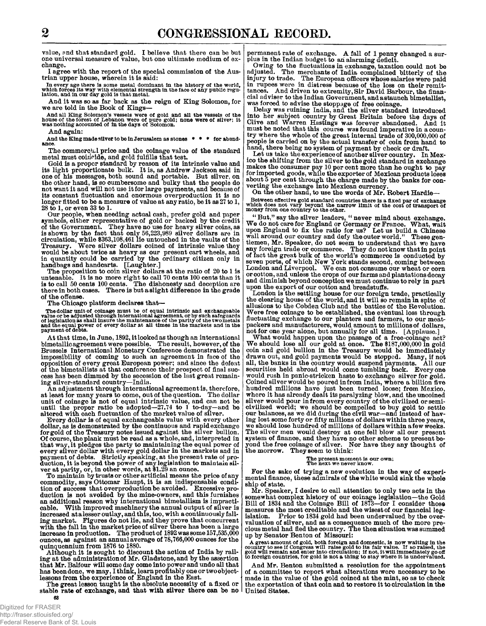**value, and that standard gold. I believe that there can be but one universal measure of value, but one ultimate medium of exchange.** 

**I agree with the report of the special commission of the Austrian upper house, wherein it is said:** 

**In every age there Is some metal dominant In the history of the world, which forces its way with elemental strength in the face of any public regu-lation, and in our day gold is that metal.** 

**And it was so as far back as the reign of King Solomon, for we are told in the Book of Kings—** 

And all King Solomon's vessels were of gold and all the vessels of the **house of the forest of Lebanon were of silver**; it was nothing accounted of in the days of Solomon.

**And again:** 

**And the King made silver to be in Jerusalem as stones \* \* \* for abundance.** 

**The commercial price and the coinage value of the standard metal must coirioide, and gold fulfills that test.** 

**Gold is a proper standard by reason of its intrinsic value and its light proportionate bulk. It is, as Andrew Jackson said in one of his messages, both sound and portable. But silver, on the other hand, is so cumbersome and bulky that the people do not want it and will not use it for large payments, and because of its constant fluctuation and enormous overproduction it is no longer fitted to be a measure of value at any ratio, be it as 27 to 1, 28 to 1, or even 33 to 1.** 

**Our people, when needing actual cash, prefer gold and paper**  symbols, either representative of gold or backed by the credit<br>of the Government. They have no use for heavy silver coins, as<br>is shown by the fact that only 56,223,989 silver dollars are<br>circulation, while \$363,108,461 lie **would be about twice as heavy as our present cart wheels, and in quantity could be carried by the ordinary citizen only in handbags and handcarts. [Laughter.]** 

**The proposition to coin silver dollars at the ratio of 20 to 1 is untenable. It is no more right to call 70 cents 100 cents than it is to call 50 cents 100 cents. The dishonesty and deception are there in both cases. There is but a si ight difference in the grade of the offense.** 

**The Chicago platform declares that—** 

The dollar unit of coinage must be of equal intrinsic and exchangeable<br>value or be adjusted through international agreement, or by such safeguards<br>of legislation as shall insure the maintenance of the parity of the two met

**At that time, in June, 1892, it looked as though an international bimetallic agreement were possible. The result, however, of the Brussels International Monetary Conference demonstrated the impossibility of coming to such an agreement in face of the opposition of every great European power; and since the defeat of the bimetallists at that conference their prospect of final success has been dimmed by the secession of the last great remaining silver-standard country—India.** 

**An adjustment through international agreement is, therefore,**  at least for many years to come, out of the question. The dollar<br>unit of coinage is not of equal intrinsic value, and can not be<br>until the proper ratio be adopted—27.74 to 1 to-day—and be<br>altered with each fluctuation of t

**Every dollar is of equal exchangeable value with every other dollar, as is demonstrated by the continuous and rapid exchange for gold of the Treasury notes issued against the silver bullion. Of course, the plank must be read as a whole, and, interpreted in that way, it pledges the party to maintaining the equal power of every silver dollar with every gold dollar in the markets and in payment of debts. Strictly speaking, at the present rate of pro-duction, it is beyond the power of any legislation to maintain sil-ver at parity, or, in other words, at \$1.29 an ounce.** 

**To maintain by trusts or other artificial means the price of any commodity, says Ottomar Haupt, it is an indispensable condi-tion of success that overproduction be avoided. Excessive pro-duction is not avoided by the mine-owners, and this furnishes an additional reason why international bimetallism is impracti**cable. With improved machinery the annual output of silver is<br>increased atalesser outlay, and this, too, with a continuously fall-<br>ing market. Figures do not lie, and they prove that concurrent<br>with the fall in the market **ounces, as against an annual average of 78,766,000 ounces for the quinquennium from 1876 to 1880.** 

**Although it is sought to discount the action of India by rail-ing at the administration of Mr. Gladstone, and by the assertion that Mr. Balfour will some day come into power and undo all that has been done, we may, I think, learn profitably one or two object-lessons from the experience of England in the East.** 

**The great lesson taught is the absolute necessity of a fixed or stable rate of exchange, and that with silver there can be no United States.** 

**permanent rate of exchange. A fall of 1 penny changed a surplus in the Indian budget to ah alarming deficit.** 

**Owing to the fluctuations in exchange, taxation could not be adjusted. The merchants of India complained bitterly of the injury to trade. The European officers whose salaries were paid in rupees were in distress because of the loss on their remittances. And driven to extremity, Sir David Barbour, the financial adviser to the Indian Government, and a staunch bimetallist, was forced to advise the stoppage of free coinage.** 

**Delay was ruining India, and the silver standard introduced into her subject country by Great Britain before the days of Clive and Warren Hastings was forever abandoned. And it must be noted that this course was found imperative in a country where the whole of the great internal trade of 300,000,000 of people is carried on by the actual transfer of coin from hand to hand, there being no system of payment by check or draft.** 

Let us take the experience of another silver country. In Mex**ico the shifting from the silver to the gold standard in exchange makes the consumer pay 10 per cent more than he ought to pay for imported goods, while the exporter of Mexican products loses about 5 per cent through the charge made by the banks for con-verting the exchange into Mexican currency.** 

**On the other hand, to use the words of Mr. Robert Hardie—** 

**Between effective gold standard countries there is a fixed par of exchange which does not vary beyond the narrow limit of the cost of transport of money from one country to the other.** 

"But," say the silver leaders, "never mind about exchange.<br>We do not care for England or Germany or France. What, wait<br>upon England to fix the ratio for us? Let us build a Chinese<br>wall around our country and defy the outer tlemen, Mr. Speaker, do not seem to understand that we have<br>any foreign trade or commerce. They do not know that in point<br>of fact the great bulk of the world's commerce is conducted by<br>seven ports, of which New York stands **and diminish beyond conception we must continue to rely in part upon the export of our cotton and breadstuffs.** 

**London is the settling house for our foreign trade, practically the clearing house of the world, and it will so remain in spite of allusions to the Cobden Club and the battles of the Revolution. Were free coinage to be established, the eventual loss through fluctuating exchange to our planters and farmers, to our meatpackers and manufacturers, would amount to millions of dollars, not for one year alone, but annually for all time. [Applause.]** 

What would happen upon the passage of a free-coinage act?<br>We should lose all our gold at once. The \$187,000,000 in gold<br>coin and gold bullion in the Treasury would be immediately **drawn out, and gold payments would be stopped. Many, if not all, the banks in the country would suspend payments. All our securities held abroad would come tumbling back. Every one would rush in panic-stricken haste to exchange silver for gold.**  Coined silver would be poured in from India, where a billion five<br>hundred millions have just been turned loose; from Mexico,<br>where it has already dealt its paralyzing blow, and the uncoined<br>silver would pour in from every **we should lose hundred of millions of dollars within a few weeks. The silver men would destroy at one fell blow all our present system of finance, and they have no other scheme to present be-yond the free coinage of silver. Nor have they any thought of the morrow. They seem to think:** 

## **The present moment is our own; The next we never know.**

**For the sake of trying a new evolution in the way of experimental finance, these admirals of thewhite would sink the whole ship of state.** 

**Mr. Speaker, I desire to call attention to only two acts in the somewhat complex history of our coinage legislation—the Gold Bill of 1834 and the Coinage Bill of 1873—for I consider those measures the most creditable and the wisest of our financial leg-**Prior to 1834 gold had been undervalued by the over**valuation of silver, and as a consequence much of the more pre-cious metal had fled the country. The then situation was summed up by Senator Benton of Missouri:** 

A great amount of gold, both foreign and domestic, is now waiting in the country to see if Congress will raise gold to its fair value. If so raised, the gold will remain and enter into circulation; if not, it will immediat

**And Mr. Benton submitted a resolution for the appointment of a committee to report what alterations were necessary to be made in the value of the gold coined at the mint, so as to check the exportation of that coin and to restore it to circulation in the** 

**63**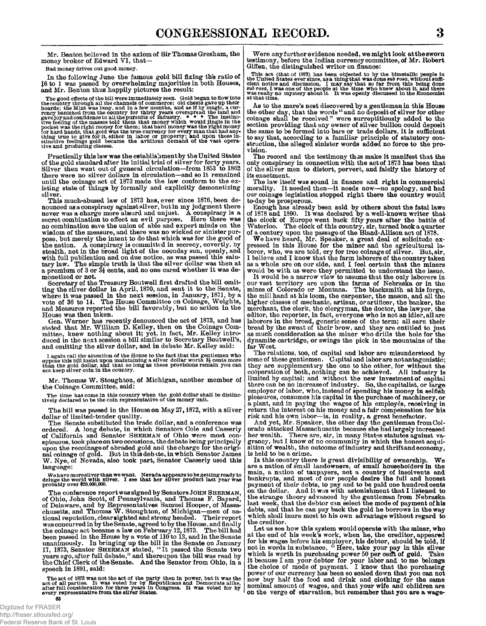**Mr. Benton believed in the axiom of Sir Thomas Gresham, the money broker of Edward VI, that—** 

**Bad money drives out good money.** 

**In the following June the famous gold bill fixing the ratio of 16 to 1 was passed by overwhelming majorities in both Houses,**  and Mr. Benton thus happily pictures the result:

The good effects of the bill were immediately seen. Gold began to flow into<br>the country through all the channels of commerce; old chests gave up their<br>hoards; the Mint was busy, and in a few months, and as if by magic, a

**Practically this law was the establishment by the United States of the gold standard after its initial trial of silver for forty years. Silver then went out of general circulation—from 1853 to 1862 there were no silver dollars in circulation—and so it remained until the coinage act of 1873 made the law conform to the existing state of things by formally and explicitly demonetizing silver.** 

**This much-abused law of 1873 has, ever since 1876, been denounced as a conspiracy against silver, but in my judgment there never was a charge more absurd and unjust. A conspiracy is a secret combination to effect an evil purpose. Here there was no combination save the union of able and expert minds on the wisdom of the measure, and there was no wicked or sinister purpose, but merely the intent to do that which was for the good of the nation. A conspiracy is committed in secrecy, covertly, by stealth, not in the broad light of the noonday sun, openly, and with full publication and on due notice, as was passed this salu**tary law. The simple truth is that the silver dollar was then at **a premium of 3 or 3£ cents, and no one cared whether it was demonetized or not.** 

**Secretary of the Treasury Boutwell first drafted the bill omitting the silver dollar in April, 1870, and sent it to the Senate, where it was passed in the next session, in January, 1871, by a vote of 36 to 14. The House Committee on Coinage, Weights, and Measures reported the bill favorably, but no action in the House was then taken.** 

Gen. Warner has recently denounced the act of 1873, and has **stated that Mr. William D. Kelley, then on the Coinage Com-mittee, knew nothing about it; yet, in fact, Mr. Kelley introduced in the next session a bill similar to Secretary Boutwell's, and omitting the silver dollar, and in debate Mr. Kelley said:** 

I again call the attention of the House to the fact that the gentlemen who oppose this bill insist upon maintaining a silver dollar worth 3j cents more than the gold dollar, and that so long as these provisions remain you

**Mr. Thomas W. Stoughton, of Michigan, another member of the Coinage Committee, said:** 

**The time has come in this country when the gold dollar shall be distinc-tively declared to be the coin representative of the money unit.** 

**The bill was passed in the House on May 27,1872, with a silver** 

**dollar of limited-tender quality. The Senate substituted the trade dollar, and a conference was ordered. A long debate, in which Senators Cole and Casserly of California and Senator SHERMAN of Ohio were most con-spicuous, took place on two occasions, the debate being principally upon the recoinage of abraded gold and the charge for the origi-nal coinage of gold. But in this debate, in which Senator James W. Nye, of Nevada, also took part, Senator Casserly used this language:** 

**We have more silver than we want. Nevada apppears to be getting ready to deluge the world with silver. I see that her silver product last year was probably over \$20,000,000.** 

**The conference report was signed by Senators JOHN SHERMAN,**  of Ohio, John Scott, of Pennsylvania, and Thomas F. Bayard,<br>of Delaware, and by Representatives Samuel Hooper, of Massa-<br>chusetts, and Thomas W. Stoughton, of Michigan—men of na-<br>tional reputation, clearsighted and strong **was concurred in by the Senate, agreed to by the House, and finally the coinage act became a law on February 12,1873. The bill had been passed in the House by a vote of 110 to 13, and in the Senate**  unanimously. In bringing up the bill in the Senate on January<br>17, 1873, Senator SHERMAN stated, "It passed the Senate two<br>years ago,after full debate," and thereupon the bill was read by<br>the Chief Clerk of the Senate. And **speech in 1891, said:** 

The act of 1873 was not the act of the party then in power, but it was the<br>act of all parties. It was voted for by Republicans and Democrats alike,<br>after full consideration for three years in Congress. It was voted for by<br>

**Were any further evidence needed, we might look at the sworn testimony, before the Indian currency committee, of Mr. Robert Giffen, the distinguished writer on finance:** 

This act (that of 1873) has been objected to by the bimetallic people in the United States ever since, as a thing that was done *aut to sa*, without summarized entired that clear notice and discussion. I may say that so

**As to the mare's nest discovered by a gentleman in this House the other day, that the words " and no deposit of silver for other coinage shall be received" were surreptitiously added to the section providing that any owner of silver bullion could deposit the same to be formed into bars or trade dollars, it is sufficient to say that, according to a familiar principle of statutory con-struction, the alleged sinister words added no force to the provision.** 

**The record and the testimony thus make it manifest that the only conspiracy in connection with the act of 1873 has been that of the silver men to distort, pervert, and falsify the history of its enactment.** 

**The law itself was sound in finance and right in commercial morality. It needed then—it needs now—no apology, and had our coinage legislation stopped right there the country would to-day be prosperous.** 

Enough has already been said by others about the fatal laws<br>of 1878 and 1890. It was declared by a well-known writer that<br>the clock of Europe went back fifty years after the battle of<br>Waterloo. The clock of this country, s Waterloo. The clock of this country, sir, turned back a quarter of a century upon the passage of the Bland-Allison act of 1878.

**We have heard, Mr. Speaker, a great deal of solicitude ex-pressed in this House for the miner and the agricultural laborer, who, we are told, cry for free coinage of silver. But, sir, I believe and I know that the farm laborers of the country taken as a whole are on our side, and I feel certain that the miners would be with us were they permitted to understand the issue.** 

**It would be a narrow view to assume that the only laborers in our vast territory are upon the farms of Nebraska or in the mines of Colorado or Montana. The blacksmith at his forge, the mill hand at his loom, the carpenter, the mason, and all the higher classes of mechanic, artisan, or artificer, the banker, the merchant, the clerk, the clergyman, the doctor, the lawyer, the editor, the reporter, in fact, everyone who is not an idler, all are laborers in the broad, generic sense of the term; all earn their bread by the sweat of their brow, and they are entitled to just as much consideration as the miner who drills the hole for the dynamite cartridge, or swings the pick in the mountains of the far West.** 

The relations, too, of capital and labor are misunderstood by<br>some of these gentlemen. Capital and labor are not antagonistic;<br>they are supplementary the one to the other, for without the<br>coöperation of both, nothing can b **there can be no increase of industry. So, the capitalist, or large employer of labor, who, instead of spending his money in selfish pleasures, consumes his capital in the purchase of machinery, or a plant, and in paying the wages of his employes, receiving in return the interest on his money and a fair compensation for his risk and his own labor—is, in reality, a great benefactor.** 

**And yet, Mr. Speaker, the other day the gentleman from Col-orado attacked Massachusetts because she had largely increased her wealth. There are, sir, in many States statutes against va-grancy, but I know of no community in which the honest acquisition of wealth, the outcome of industry and thrift and economy, is held to be a crime.** 

**In this country there is great divisibility of ownership. We are a nation of small landowners, of small householders in the main, a nation of taxpayers, not a country of insolvents and bankrupts, and most of our people desire the full and honest payment of their debts, to pay and to be paid one hundred cents on the dollar. And it was with astonishment that I listened to the strange theory advanced by the gentleman from Nebraska last week, that the debtor can select the mode of payment of his debts, and that he can pay back the gold he borrows in the way which shall inure most to his own advantage without regard to** 

the creditor.<br>Let us see how this system would operate with the miner, who<br>at the end of his week's work, when he, the creditor, appeared<br>for his wages before his employer, his debtor, should be told, if<br>not in words in su **now buy half the food and drink and clothing for the same nominal amount of wages, and that your wife and children are on the verge of starvation, but remember that you are a wage-**